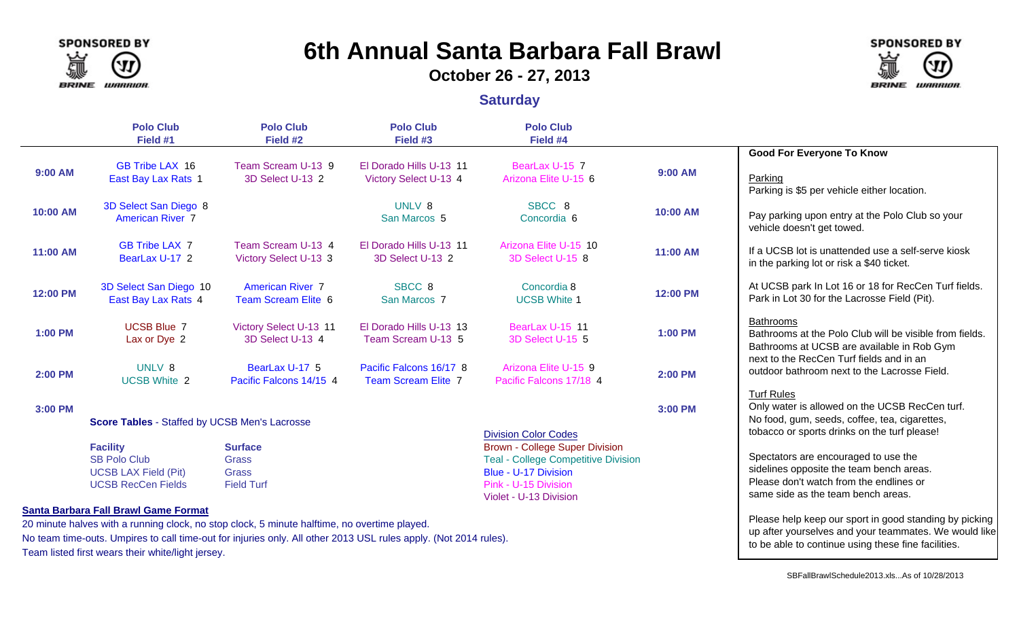

# **6th Annual Santa Barbara Fall Brawl**

**October 26 - 27, 2013**

#### **Saturday**



No team time-outs. Umpires to call time-out for injuries only. All other 2013 USL rules apply. (Not 2014 rules). Team listed first wears their white/light jersey.

up after yourselves and your teammates. We would like

**SPONSORED BY** 

LUARRIOR.

**BRINE** 

to be able to continue using these fine facilities.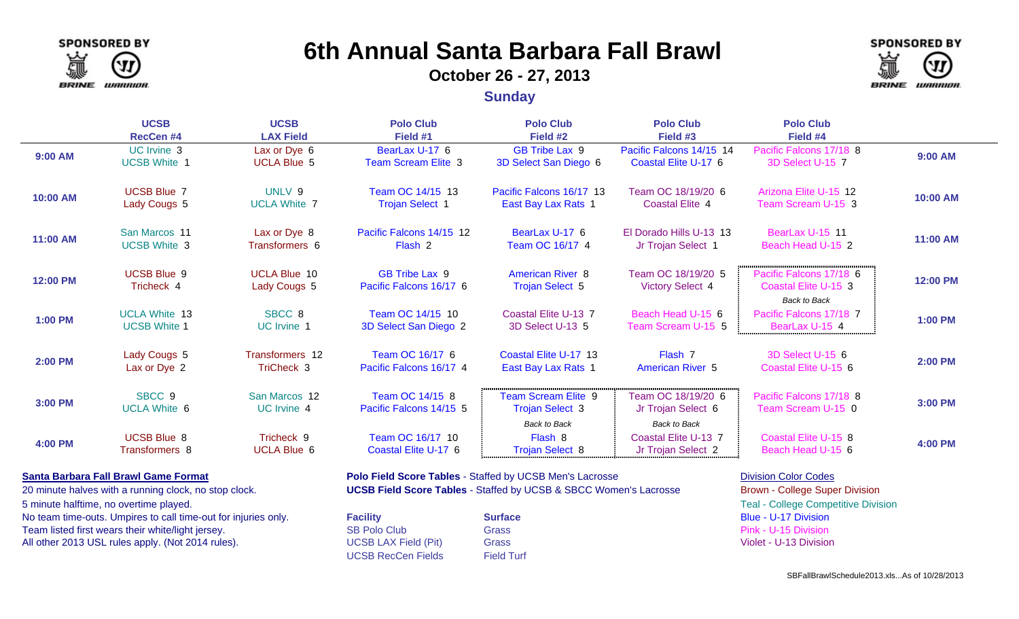

## **6th Annual Santa Barbara Fall Brawl**

#### **October 26 - 27, 2013**



**Sunday**

|                | <b>UCSB</b><br><b>RecCen#4</b>              | <b>UCSB</b><br><b>LAX Field</b>     | <b>Polo Club</b><br>Field #1                             | <b>Polo Club</b><br>Field #2                                                | <b>Polo Club</b><br>Field #3                                    | <b>Polo Club</b><br>Field #4                                           |                |
|----------------|---------------------------------------------|-------------------------------------|----------------------------------------------------------|-----------------------------------------------------------------------------|-----------------------------------------------------------------|------------------------------------------------------------------------|----------------|
| 9:00 AM        | UC Irvine 3<br><b>UCSB White 1</b>          | Lax or Dye 6<br><b>UCLA Blue 5</b>  | BearLax U-17 6<br><b>Team Scream Elite 3</b>             | GB Tribe Lax 9<br>3D Select San Diego 6                                     | Pacific Falcons 14/15 14<br>Coastal Elite U-17 6                | Pacific Falcons 17/18 8<br>3D Select U-15 7                            | 9:00 AM        |
| 10:00 AM       | <b>UCSB Blue 7</b><br>Lady Cougs 5          | UNLV 9<br><b>UCLA White 7</b>       | Team OC 14/15 13<br><b>Trojan Select 1</b>               | Pacific Falcons 16/17 13<br>East Bay Lax Rats 1                             | Team OC 18/19/20 6<br><b>Coastal Elite 4</b>                    | Arizona Elite U-15 12<br>Team Scream U-15 3                            | 10:00 AM       |
| 11:00 AM       | San Marcos 11<br><b>UCSB White 3</b>        | Lax or Dye 8<br>Transformers 6      | Pacific Falcons 14/15 12<br>Flash 2                      | BearLax U-17 6<br>Team OC 16/17 4                                           | El Dorado Hills U-13 13<br>Jr Trojan Select 1                   | BearLax U-15 11<br>Beach Head U-15 2                                   | 11:00 AM       |
| 12:00 PM       | <b>UCSB Blue 9</b><br>Tricheck 4            | <b>UCLA Blue 10</b><br>Lady Cougs 5 | <b>GB Tribe Lax 9</b><br>Pacific Falcons 16/17 6         | <b>American River 8</b><br><b>Trojan Select 5</b>                           | Team OC 18/19/20 5<br><b>Victory Select 4</b>                   | Pacific Falcons 17/18 6<br>Coastal Elite U-15 3<br><b>Back to Back</b> | 12:00 PM       |
| <b>1:00 PM</b> | <b>UCLA White 13</b><br><b>UCSB White 1</b> | SBCC <sub>8</sub><br>UC Irvine 1    | Team OC 14/15 10<br>3D Select San Diego 2                | Coastal Elite U-13 7<br>3D Select U-13 5                                    | Beach Head U-15 6<br>Team Scream U-15 5                         | Pacific Falcons 17/18 7<br>BearLax U-15 4                              | 1:00 PM        |
| <b>2:00 PM</b> | Lady Cougs 5<br>Lax or Dye 2                | Transformers 12<br>TriCheck 3       | Team OC 16/17 6<br>Pacific Falcons 16/17 4               | Coastal Elite U-17 13<br>East Bay Lax Rats 1                                | Flash 7<br><b>American River 5</b>                              | 3D Select U-15 6<br>Coastal Elite U-15 6                               | <b>2:00 PM</b> |
| 3:00 PM        | SBCC <sub>9</sub><br><b>UCLA White 6</b>    | San Marcos 12<br>UC Irvine 4        | Team OC 14/15 8<br>Pacific Falcons 14/15 5               | <b>Team Scream Elite 9</b><br><b>Trojan Select 3</b><br><b>Back to Back</b> | Team OC 18/19/20 6<br>Jr Trojan Select 6<br><b>Back to Back</b> | Pacific Falcons 17/18 8<br>Team Scream U-15 0                          | 3:00 PM        |
| <b>4:00 PM</b> | <b>UCSB Blue 8</b><br>Transformers 8        | Tricheck 9<br><b>UCLA Blue 6</b>    | Team OC 16/17 10<br>Coastal Elite U-17 6                 | Flash 8<br><b>Trojan Select 8</b>                                           | Coastal Elite U-13 7<br>Jr Trojan Select 2                      | Coastal Elite U-15 8<br>Beach Head U-15 6                              | <b>4:00 PM</b> |
|                | <b>Santa Barbara Fall Brawl Game Format</b> |                                     | Polo Field Score Tables - Staffed by UCSB Men's Lacrosse |                                                                             |                                                                 | <b>Division Color Codes</b>                                            |                |

5 minute halftime, no overtime played. Teal - College Competitive Division

No team time-outs. Umpires to call time-out for injuries only. **Facilit** Team listed first wears their white/light jersey. SB Polo Club Grass Polo Club Pink - U-15 Division All other 2013 USL rules apply. (Not 2014 rules). UCSB LAX Field (Pit) Grass Violet - U-13 Division

20 minute halves with a running clock, no stop clock. **UCSB Field Score Tables** - Staffed by UCSB & SBCC Women's Lacrosse Brown - College Super Division

UCSB RecCen Fields

Field Turf

**Surface** Blue - U-17 Division